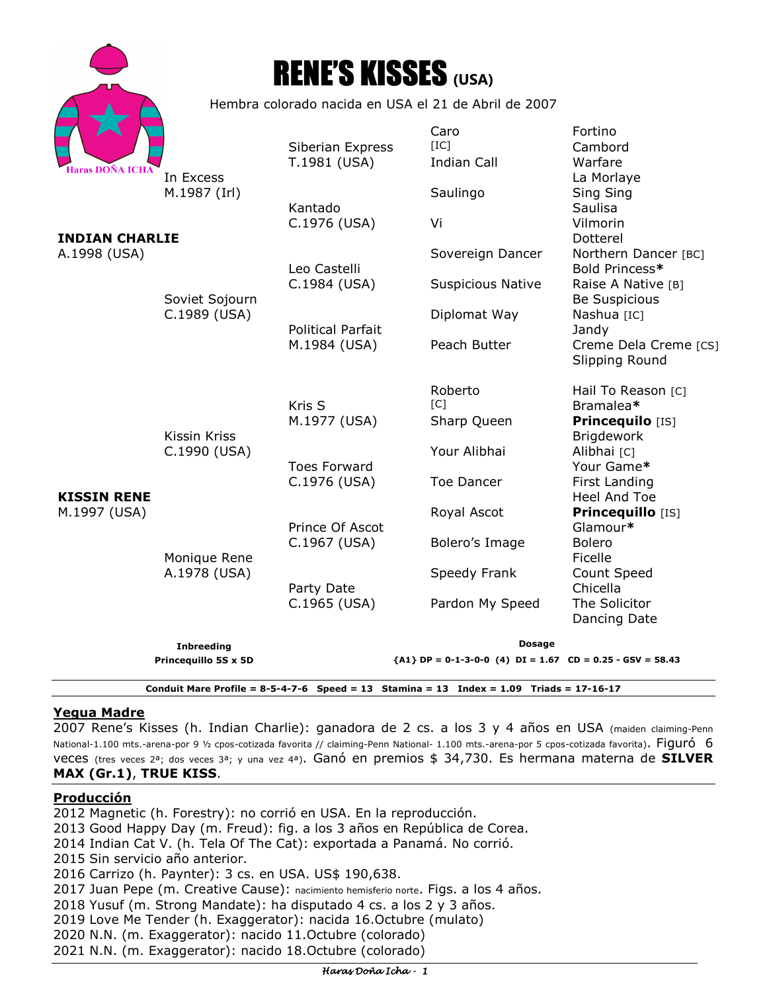|                                                                                           |                                                              | <b>RENE'S KISSES (USA)</b>       |                                                                       |                                                                          |
|-------------------------------------------------------------------------------------------|--------------------------------------------------------------|----------------------------------|-----------------------------------------------------------------------|--------------------------------------------------------------------------|
|                                                                                           | Hembra colorado nacida en USA el 21 de Abril de 2007         |                                  |                                                                       |                                                                          |
| Haras DOÑA ICH <i>A</i>                                                                   | In Excess                                                    | Siberian Express<br>T.1981 (USA) | Caro<br>[IC]<br><b>Indian Call</b>                                    | Fortino<br>Cambord<br>Warfare<br>La Morlaye                              |
| <b>INDIAN CHARLIE</b><br>A.1998 (USA)                                                     | M.1987 (Irl)<br>Soviet Sojourn<br>C.1989 (USA)               | Kantado                          | Saulingo                                                              | Sing Sing<br>Saulisa                                                     |
|                                                                                           |                                                              | C.1976 (USA)                     | Vi                                                                    | Vilmorin<br>Dotterel                                                     |
|                                                                                           |                                                              | Leo Castelli                     | Sovereign Dancer                                                      | Northern Dancer [BC]<br>Bold Princess*                                   |
|                                                                                           |                                                              | C.1984 (USA)                     | <b>Suspicious Native</b>                                              | Raise A Native [B]<br>Be Suspicious                                      |
|                                                                                           |                                                              | <b>Political Parfait</b>         | Diplomat Way                                                          | Nashua [IC]<br>Jandy                                                     |
|                                                                                           |                                                              | M.1984 (USA)                     | Peach Butter                                                          | Creme Dela Creme [CS]<br>Slipping Round                                  |
| <b>KISSIN RENE</b><br>M.1997 (USA)                                                        | Kissin Kriss<br>C.1990 (USA)<br>Monique Rene<br>A.1978 (USA) | Kris S<br>M.1977 (USA)           | Roberto<br>$\lceil C \rceil$<br>Sharp Queen                           | Hail To Reason [C]<br>Bramalea*<br>Princequilo [IS]<br><b>Brigdework</b> |
|                                                                                           |                                                              | <b>Toes Forward</b>              | Your Alibhai                                                          | Alibhai [C]<br>Your Game*                                                |
|                                                                                           |                                                              | C.1976 (USA)                     | <b>Toe Dancer</b>                                                     | First Landing<br>Heel And Toe                                            |
|                                                                                           |                                                              | Prince Of Ascot                  | Royal Ascot                                                           | Princequillo [IS]<br>Glamour*                                            |
|                                                                                           |                                                              | C.1967 (USA)                     | Bolero's Image                                                        | <b>Bolero</b><br>Ficelle                                                 |
|                                                                                           |                                                              | Party Date                       | Speedy Frank                                                          | Count Speed<br>Chicella                                                  |
|                                                                                           |                                                              | C.1965 (USA)                     | Pardon My Speed                                                       | The Solicitor<br>Dancing Date                                            |
|                                                                                           | <b>Inbreeding</b>                                            |                                  | <b>Dosage</b>                                                         |                                                                          |
| Princequillo 5S x 5D                                                                      |                                                              |                                  | ${A1} \text{ DP} = 0-1-3-0-0$ (4) $DI = 1.67$ CD = 0.25 - GSV = 58.43 |                                                                          |
| Conduit Mare Profile = $8-5-4-7-6$ Speed = 13 Stamina = 13 Index = 1.09 Triads = 17-16-17 |                                                              |                                  |                                                                       |                                                                          |

## **Yegua Madre**

2007 Rene's Kisses (h. Indian Charlie): ganadora de 2 cs. a los 3 y 4 años en USA (maiden claiming-Penn National-1.100 mts.-arena-por 9 ½ cpos-cotizada favorita // claiming-Penn National- 1.100 mts.-arena-por 5 cpos-cotizada favorita). Figuró 6 veces (tres veces 2ª; dos veces 3ª; y una vez 4ª). Ganó en premios \$ 34,730. Es hermana materna de **SILVER MAX (Gr.1)**, **TRUE KISS**.

#### **Producción**

2012 Magnetic (h. Forestry): no corrió en USA. En la reproducción. 2013 Good Happy Day (m. Freud): fig. a los 3 años en República de Corea. 2014 Indian Cat V. (h. Tela Of The Cat): exportada a Panamá. No corrió. 2015 Sin servicio año anterior. 2016 Carrizo (h. Paynter): 3 cs. en USA. US\$ 190,638. 2017 Juan Pepe (m. Creative Cause): nacimiento hemisferio norte. Figs. a los 4 años. 2018 Yusuf (m. Strong Mandate): ha disputado 4 cs. a los 2 y 3 años. 2019 Love Me Tender (h. Exaggerator): nacida 16.Octubre (mulato) 2020 N.N. (m. Exaggerator): nacido 11.Octubre (colorado) 2021 N.N. (m. Exaggerator): nacido 18.Octubre (colorado)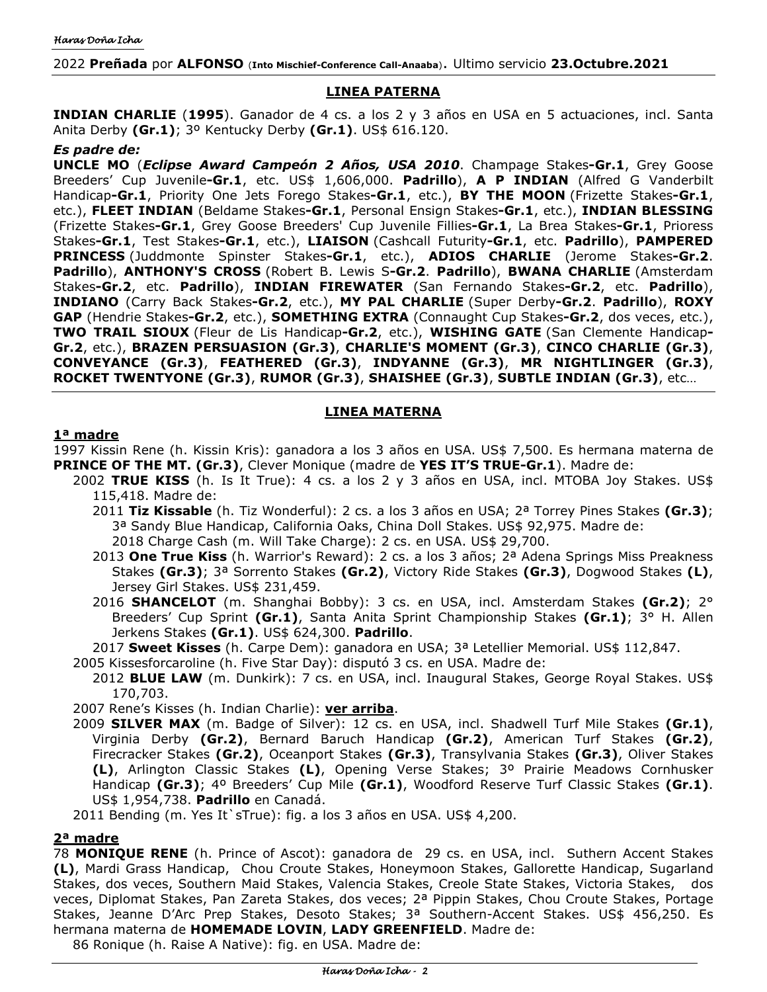# **LINEA PATERNA**

**INDIAN CHARLIE** (**1995**). Ganador de 4 cs. a los 2 y 3 años en USA en 5 actuaciones, incl. Santa Anita Derby **(Gr.1)**; 3º Kentucky Derby **(Gr.1)**. US\$ 616.120.

# *Es padre de:*

**UNCLE MO** (*Eclipse Award Campeón 2 Años, USA 2010*. Champage Stakes**-Gr.1**, Grey Goose Breeders' Cup Juvenile**-Gr.1**, etc. US\$ 1,606,000. **Padrillo**), **A P INDIAN** (Alfred G Vanderbilt Handicap**-Gr.1**, Priority One Jets Forego Stakes**-Gr.1**, etc.), **BY THE MOON** (Frizette Stakes**-Gr.1**, etc.), **FLEET INDIAN** (Beldame Stakes**-Gr.1**, Personal Ensign Stakes**-Gr.1**, etc.), **INDIAN BLESSING**  (Frizette Stakes**-Gr.1**, Grey Goose Breeders' Cup Juvenile Fillies**-Gr.1**, La Brea Stakes**-Gr.1**, Prioress Stakes**-Gr.1**, Test Stakes**-Gr.1**, etc.), **LIAISON** (Cashcall Futurity**-Gr.1**, etc. **Padrillo**), **PAMPERED PRINCESS** (Juddmonte Spinster Stakes**-Gr.1**, etc.), **ADIOS CHARLIE** (Jerome Stakes**-Gr.2**. **Padrillo**), **ANTHONY'S CROSS** (Robert B. Lewis S**-Gr.2**. **Padrillo**), **BWANA CHARLIE** (Amsterdam Stakes**-Gr.2**, etc. **Padrillo**), **INDIAN FIREWATER** (San Fernando Stakes**-Gr.2**, etc. **Padrillo**), **INDIANO** (Carry Back Stakes**-Gr.2**, etc.), **MY PAL CHARLIE** (Super Derby**-Gr.2**. **Padrillo**), **ROXY GAP** (Hendrie Stakes**-Gr.2**, etc.), **SOMETHING EXTRA** (Connaught Cup Stakes**-Gr.2**, dos veces, etc.), **TWO TRAIL SIOUX** (Fleur de Lis Handicap**-Gr.2**, etc.), **WISHING GATE** (San Clemente Handicap**-Gr.2**, etc.), **BRAZEN PERSUASION (Gr.3)**, **CHARLIE'S MOMENT (Gr.3)**, **CINCO CHARLIE (Gr.3)**, **CONVEYANCE (Gr.3)**, **FEATHERED (Gr.3)**, **INDYANNE (Gr.3)**, **MR NIGHTLINGER (Gr.3)**, **ROCKET TWENTYONE (Gr.3)**, **RUMOR (Gr.3)**, **SHAISHEE (Gr.3)**, **SUBTLE INDIAN (Gr.3)**, etc…

# **LINEA MATERNA**

# **1ª madre**

1997 Kissin Rene (h. Kissin Kris): ganadora a los 3 años en USA. US\$ 7,500. Es hermana materna de **PRINCE OF THE MT. (Gr.3)**, Clever Monique (madre de **YES IT'S TRUE-Gr.1**). Madre de:

- 2002 **TRUE KISS** (h. Is It True): 4 cs. a los 2 y 3 años en USA, incl. MTOBA Joy Stakes. US\$ 115,418. Madre de:
	- 2011 **Tiz Kissable** (h. Tiz Wonderful): 2 cs. a los 3 años en USA; 2ª Torrey Pines Stakes **(Gr.3)**; 3ª Sandy Blue Handicap, California Oaks, China Doll Stakes. US\$ 92,975. Madre de: 2018 Charge Cash (m. Will Take Charge): 2 cs. en USA. US\$ 29,700.
	- 2013 **One True Kiss** (h. Warrior's Reward): 2 cs. a los 3 años; 2ª Adena Springs Miss Preakness Stakes **(Gr.3)**; 3ª Sorrento Stakes **(Gr.2)**, Victory Ride Stakes **(Gr.3)**, Dogwood Stakes **(L)**, Jersey Girl Stakes. US\$ 231,459.
	- 2016 **SHANCELOT** (m. Shanghai Bobby): 3 cs. en USA, incl. Amsterdam Stakes **(Gr.2)**; 2° Breeders' Cup Sprint **(Gr.1)**, Santa Anita Sprint Championship Stakes **(Gr.1)**; 3° H. Allen Jerkens Stakes **(Gr.1)**. US\$ 624,300. **Padrillo**.

2017 **Sweet Kisses** (h. Carpe Dem): ganadora en USA; 3ª Letellier Memorial. US\$ 112,847.

- 2005 Kissesforcaroline (h. Five Star Day): disputó 3 cs. en USA. Madre de:
- 2012 **BLUE LAW** (m. Dunkirk): 7 cs. en USA, incl. Inaugural Stakes, George Royal Stakes. US\$ 170,703.

2007 Rene's Kisses (h. Indian Charlie): **ver arriba**.

2009 **SILVER MAX** (m. Badge of Silver): 12 cs. en USA, incl. Shadwell Turf Mile Stakes **(Gr.1)**, Virginia Derby **(Gr.2)**, Bernard Baruch Handicap **(Gr.2)**, American Turf Stakes **(Gr.2)**, Firecracker Stakes **(Gr.2)**, Oceanport Stakes **(Gr.3)**, Transylvania Stakes **(Gr.3)**, Oliver Stakes **(L)**, Arlington Classic Stakes **(L)**, Opening Verse Stakes; 3º Prairie Meadows Cornhusker Handicap **(Gr.3)**; 4º Breeders' Cup Mile **(Gr.1)**, Woodford Reserve Turf Classic Stakes **(Gr.1)**. US\$ 1,954,738. **Padrillo** en Canadá.

2011 Bending (m. Yes It`sTrue): fig. a los 3 años en USA. US\$ 4,200.

## **2ª madre**

78 **MONIQUE RENE** (h. Prince of Ascot): ganadora de 29 cs. en USA, incl. Suthern Accent Stakes **(L)**, Mardi Grass Handicap, Chou Croute Stakes, Honeymoon Stakes, Gallorette Handicap, Sugarland Stakes, dos veces, Southern Maid Stakes, Valencia Stakes, Creole State Stakes, Victoria Stakes, dos veces, Diplomat Stakes, Pan Zareta Stakes, dos veces; 2ª Pippin Stakes, Chou Croute Stakes, Portage Stakes, Jeanne D'Arc Prep Stakes, Desoto Stakes; 3ª Southern-Accent Stakes. US\$ 456,250. Es hermana materna de **HOMEMADE LOVIN**, **LADY GREENFIELD**. Madre de:

86 Ronique (h. Raise A Native): fig. en USA. Madre de: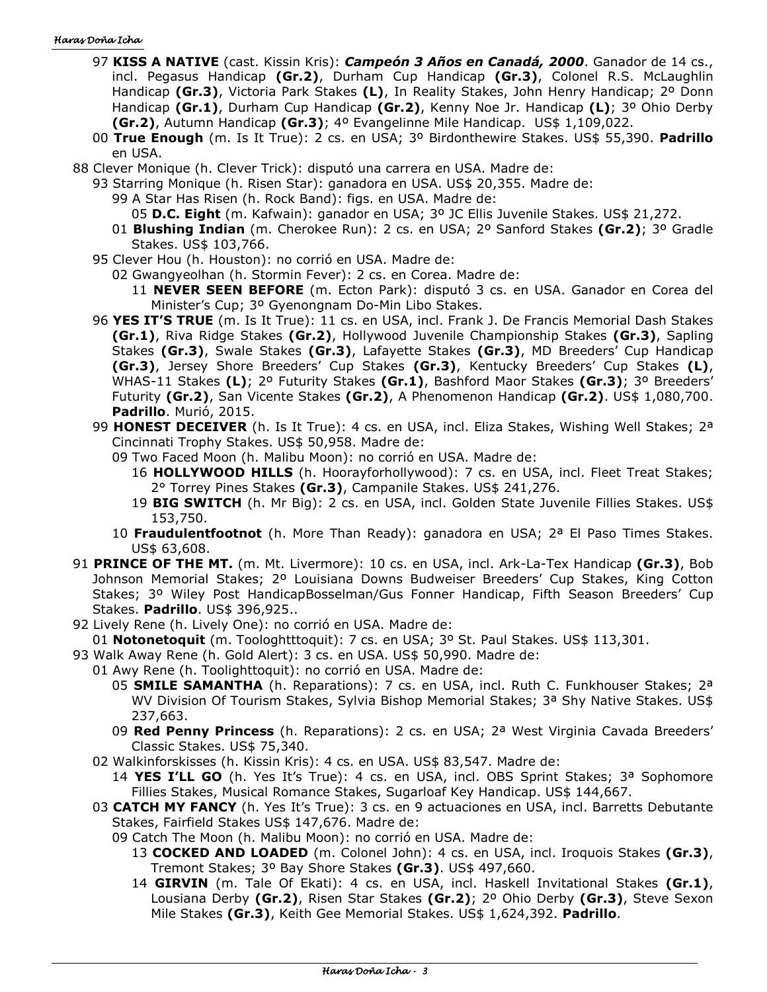#### Haras Doña Icha

- 97 **KISS A NATIVE** (cast. Kissin Kris): *Campeón 3 Años en Canadá, 2000*. Ganador de 14 cs., incl. Pegasus Handicap **(Gr.2)**, Durham Cup Handicap **(Gr.3)**, Colonel R.S. McLaughlin Handicap **(Gr.3)**, Victoria Park Stakes **(L)**, In Reality Stakes, John Henry Handicap; 2º Donn Handicap **(Gr.1)**, Durham Cup Handicap **(Gr.2)**, Kenny Noe Jr. Handicap **(L)**; 3º Ohio Derby **(Gr.2)**, Autumn Handicap **(Gr.3)**; 4º Evangelinne Mile Handicap. US\$ 1,109,022.
- 00 **True Enough** (m. Is It True): 2 cs. en USA; 3º Birdonthewire Stakes. US\$ 55,390. **Padrillo** en USA.
- 88 Clever Monique (h. Clever Trick): disputó una carrera en USA. Madre de:
	- 93 Starring Monique (h. Risen Star): ganadora en USA. US\$ 20,355. Madre de:
		- 99 A Star Has Risen (h. Rock Band): figs. en USA. Madre de:
			- 05 **D.C. Eight** (m. Kafwain): ganador en USA; 3º JC Ellis Juvenile Stakes. US\$ 21,272.
		- 01 **Blushing Indian** (m. Cherokee Run): 2 cs. en USA; 2º Sanford Stakes **(Gr.2)**; 3º Gradle Stakes. US\$ 103,766.
	- 95 Clever Hou (h. Houston): no corrió en USA. Madre de:
		- 02 Gwangyeolhan (h. Stormin Fever): 2 cs. en Corea. Madre de:
			- 11 **NEVER SEEN BEFORE** (m. Ecton Park): disputó 3 cs. en USA. Ganador en Corea del Minister's Cup; 3º Gyenongnam Do-Min Libo Stakes.
	- 96 **YES IT'S TRUE** (m. Is It True): 11 cs. en USA, incl. Frank J. De Francis Memorial Dash Stakes **(Gr.1)**, Riva Ridge Stakes **(Gr.2)**, Hollywood Juvenile Championship Stakes **(Gr.3)**, Sapling Stakes **(Gr.3)**, Swale Stakes **(Gr.3)**, Lafayette Stakes **(Gr.3)**, MD Breeders' Cup Handicap **(Gr.3)**, Jersey Shore Breeders' Cup Stakes **(Gr.3)**, Kentucky Breeders' Cup Stakes **(L)**, WHAS-11 Stakes **(L)**; 2º Futurity Stakes **(Gr.1)**, Bashford Maor Stakes **(Gr.3)**; 3º Breeders' Futurity **(Gr.2)**, San Vicente Stakes **(Gr.2)**, A Phenomenon Handicap **(Gr.2)**. US\$ 1,080,700. **Padrillo**. Murió, 2015.
	- 99 **HONEST DECEIVER** (h. Is It True): 4 cs. en USA, incl. Eliza Stakes, Wishing Well Stakes; 2ª Cincinnati Trophy Stakes. US\$ 50,958. Madre de:
		- 09 Two Faced Moon (h. Malibu Moon): no corrió en USA. Madre de:
			- 16 **HOLLYWOOD HILLS** (h. Hoorayforhollywood): 7 cs. en USA, incl. Fleet Treat Stakes; 2° Torrey Pines Stakes **(Gr.3)**, Campanile Stakes. US\$ 241,276.
			- 19 **BIG SWITCH** (h. Mr Big): 2 cs. en USA, incl. Golden State Juvenile Fillies Stakes. US\$ 153,750.
		- 10 **Fraudulentfootnot** (h. More Than Ready): ganadora en USA; 2ª El Paso Times Stakes. US\$ 63,608.
- 91 **PRINCE OF THE MT.** (m. Mt. Livermore): 10 cs. en USA, incl. Ark-La-Tex Handicap **(Gr.3)**, Bob Johnson Memorial Stakes; 2º Louisiana Downs Budweiser Breeders' Cup Stakes, King Cotton Stakes; 3º Wiley Post HandicapBosselman/Gus Fonner Handicap, Fifth Season Breeders' Cup Stakes. **Padrillo**. US\$ 396,925..
- 92 Lively Rene (h. Lively One): no corrió en USA. Madre de:
- 01 **Notonetoquit** (m. Toologhtttoquit): 7 cs. en USA; 3º St. Paul Stakes. US\$ 113,301.
- 93 Walk Away Rene (h. Gold Alert): 3 cs. en USA. US\$ 50,990. Madre de:
	- 01 Awy Rene (h. Toolighttoquit): no corrió en USA. Madre de:
		- 05 **SMILE SAMANTHA** (h. Reparations): 7 cs. en USA, incl. Ruth C. Funkhouser Stakes; 2ª WV Division Of Tourism Stakes, Sylvia Bishop Memorial Stakes; 3<sup>a</sup> Shy Native Stakes. US\$ 237,663.
		- 09 **Red Penny Princess** (h. Reparations): 2 cs. en USA; 2ª West Virginia Cavada Breeders' Classic Stakes. US\$ 75,340.
	- 02 Walkinforskisses (h. Kissin Kris): 4 cs. en USA. US\$ 83,547. Madre de:
		- 14 **YES I'LL GO** (h. Yes It's True): 4 cs. en USA, incl. OBS Sprint Stakes; 3ª Sophomore Fillies Stakes, Musical Romance Stakes, Sugarloaf Key Handicap. US\$ 144,667.
	- 03 **CATCH MY FANCY** (h. Yes It's True): 3 cs. en 9 actuaciones en USA, incl. Barretts Debutante Stakes, Fairfield Stakes US\$ 147,676. Madre de:
		- 09 Catch The Moon (h. Malibu Moon): no corrió en USA. Madre de:
			- 13 **COCKED AND LOADED** (m. Colonel John): 4 cs. en USA, incl. Iroquois Stakes **(Gr.3)**, Tremont Stakes; 3º Bay Shore Stakes **(Gr.3)**. US\$ 497,660.
			- 14 **GIRVIN** (m. Tale Of Ekati): 4 cs. en USA, incl. Haskell Invitational Stakes **(Gr.1)**, Lousiana Derby **(Gr.2)**, Risen Star Stakes **(Gr.2)**; 2º Ohio Derby **(Gr.3)**, Steve Sexon Mile Stakes **(Gr.3)**, Keith Gee Memorial Stakes. US\$ 1,624,392. **Padrillo**.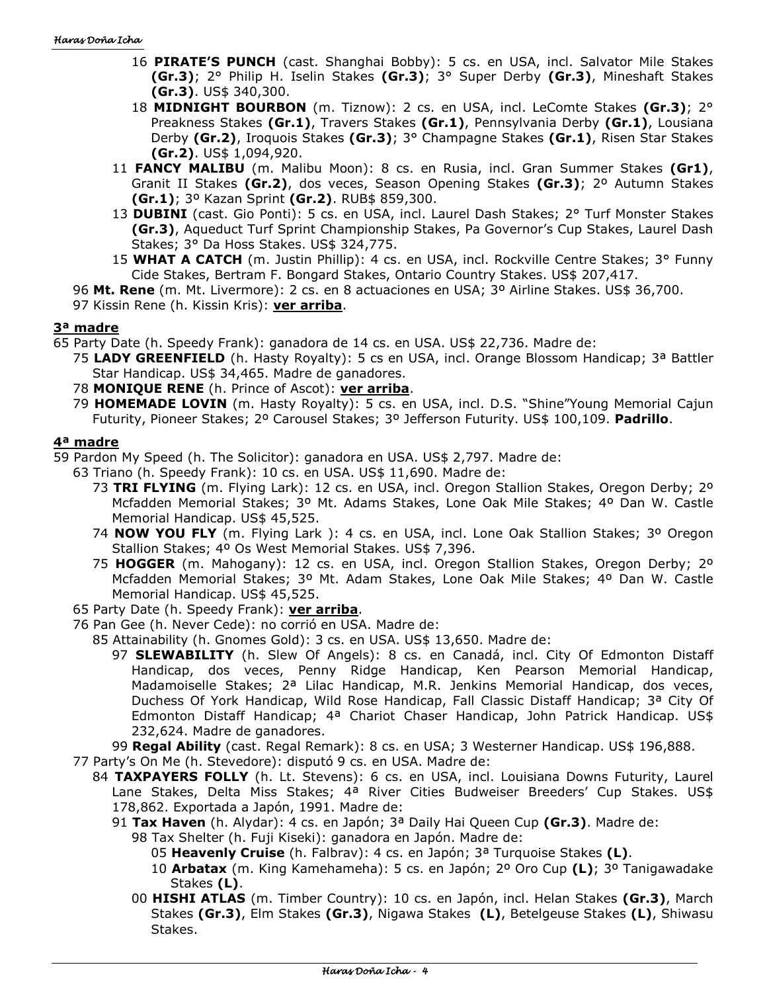- 16 **PIRATE'S PUNCH** (cast. Shanghai Bobby): 5 cs. en USA, incl. Salvator Mile Stakes **(Gr.3)**; 2° Philip H. Iselin Stakes **(Gr.3)**; 3° Super Derby **(Gr.3)**, Mineshaft Stakes **(Gr.3)**. US\$ 340,300.
- 18 **MIDNIGHT BOURBON** (m. Tiznow): 2 cs. en USA, incl. LeComte Stakes **(Gr.3)**; 2° Preakness Stakes **(Gr.1)**, Travers Stakes **(Gr.1)**, Pennsylvania Derby **(Gr.1)**, Lousiana Derby **(Gr.2)**, Iroquois Stakes **(Gr.3)**; 3° Champagne Stakes **(Gr.1)**, Risen Star Stakes **(Gr.2)**. US\$ 1,094,920.
- 11 **FANCY MALIBU** (m. Malibu Moon): 8 cs. en Rusia, incl. Gran Summer Stakes **(Gr1)**, Granit II Stakes **(Gr.2)**, dos veces, Season Opening Stakes **(Gr.3)**; 2º Autumn Stakes **(Gr.1)**; 3º Kazan Sprint **(Gr.2)**. RUB\$ 859,300.
- 13 **DUBINI** (cast. Gio Ponti): 5 cs. en USA, incl. Laurel Dash Stakes; 2° Turf Monster Stakes **(Gr.3)**, Aqueduct Turf Sprint Championship Stakes, Pa Governor's Cup Stakes, Laurel Dash Stakes; 3° Da Hoss Stakes. US\$ 324,775.
- 15 **WHAT A CATCH** (m. Justin Phillip): 4 cs. en USA, incl. Rockville Centre Stakes; 3° Funny Cide Stakes, Bertram F. Bongard Stakes, Ontario Country Stakes. US\$ 207,417.
- 96 **Mt. Rene** (m. Mt. Livermore): 2 cs. en 8 actuaciones en USA; 3º Airline Stakes. US\$ 36,700.

97 Kissin Rene (h. Kissin Kris): **ver arriba**.

# **3ª madre**

65 Party Date (h. Speedy Frank): ganadora de 14 cs. en USA. US\$ 22,736. Madre de:

- 75 **LADY GREENFIELD** (h. Hasty Royalty): 5 cs en USA, incl. Orange Blossom Handicap; 3ª Battler Star Handicap. US\$ 34,465. Madre de ganadores.
- 78 **MONIQUE RENE** (h. Prince of Ascot): **ver arriba**.
- 79 **HOMEMADE LOVIN** (m. Hasty Royalty): 5 cs. en USA, incl. D.S. "Shine"Young Memorial Cajun Futurity, Pioneer Stakes; 2º Carousel Stakes; 3º Jefferson Futurity. US\$ 100,109. **Padrillo**.

# **4ª madre**

59 Pardon My Speed (h. The Solicitor): ganadora en USA. US\$ 2,797. Madre de:

- 63 Triano (h. Speedy Frank): 10 cs. en USA. US\$ 11,690. Madre de:
	- 73 **TRI FLYING** (m. Flying Lark): 12 cs. en USA, incl. Oregon Stallion Stakes, Oregon Derby; 2º Mcfadden Memorial Stakes; 3º Mt. Adams Stakes, Lone Oak Mile Stakes; 4º Dan W. Castle Memorial Handicap. US\$ 45,525.
	- 74 **NOW YOU FLY** (m. Flying Lark ): 4 cs. en USA, incl. Lone Oak Stallion Stakes; 3º Oregon Stallion Stakes; 4º Os West Memorial Stakes. US\$ 7,396.
	- 75 **HOGGER** (m. Mahogany): 12 cs. en USA, incl. Oregon Stallion Stakes, Oregon Derby; 2º Mcfadden Memorial Stakes; 3º Mt. Adam Stakes, Lone Oak Mile Stakes; 4º Dan W. Castle Memorial Handicap. US\$ 45,525.
- 65 Party Date (h. Speedy Frank): **ver arriba**.
- 76 Pan Gee (h. Never Cede): no corrió en USA. Madre de:
	- 85 Attainability (h. Gnomes Gold): 3 cs. en USA. US\$ 13,650. Madre de:
		- 97 **SLEWABILITY** (h. Slew Of Angels): 8 cs. en Canadá, incl. City Of Edmonton Distaff Handicap, dos veces, Penny Ridge Handicap, Ken Pearson Memorial Handicap, Madamoiselle Stakes; 2ª Lilac Handicap, M.R. Jenkins Memorial Handicap, dos veces, Duchess Of York Handicap, Wild Rose Handicap, Fall Classic Distaff Handicap; 3ª City Of Edmonton Distaff Handicap; 4ª Chariot Chaser Handicap, John Patrick Handicap. US\$ 232,624. Madre de ganadores.

99 **Regal Ability** (cast. Regal Remark): 8 cs. en USA; 3 Westerner Handicap. US\$ 196,888.

- 77 Party's On Me (h. Stevedore): disputó 9 cs. en USA. Madre de:
	- 84 **TAXPAYERS FOLLY** (h. Lt. Stevens): 6 cs. en USA, incl. Louisiana Downs Futurity, Laurel Lane Stakes, Delta Miss Stakes; 4ª River Cities Budweiser Breeders' Cup Stakes. US\$ 178,862. Exportada a Japón, 1991. Madre de:
		- 91 **Tax Haven** (h. Alydar): 4 cs. en Japón; 3ª Daily Hai Queen Cup **(Gr.3)**. Madre de:
			- 98 Tax Shelter (h. Fuji Kiseki): ganadora en Japón. Madre de:
				- 05 **Heavenly Cruise** (h. Falbrav): 4 cs. en Japón; 3ª Turquoise Stakes **(L)**.
				- 10 **Arbatax** (m. King Kamehameha): 5 cs. en Japón; 2º Oro Cup **(L)**; 3º Tanigawadake Stakes **(L)**.
			- 00 **HISHI ATLAS** (m. Timber Country): 10 cs. en Japón, incl. Helan Stakes **(Gr.3)**, March Stakes **(Gr.3)**, Elm Stakes **(Gr.3)**, Nigawa Stakes **(L)**, Betelgeuse Stakes **(L)**, Shiwasu Stakes.